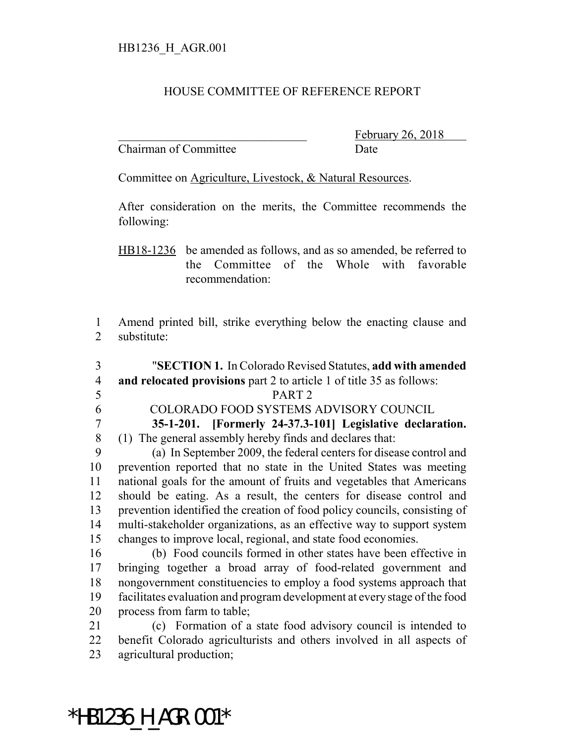## HOUSE COMMITTEE OF REFERENCE REPORT

Chairman of Committee Date

February 26, 2018

Committee on Agriculture, Livestock, & Natural Resources.

After consideration on the merits, the Committee recommends the following:

HB18-1236 be amended as follows, and as so amended, be referred to the Committee of the Whole with favorable recommendation:

 Amend printed bill, strike everything below the enacting clause and substitute:

 "**SECTION 1.** In Colorado Revised Statutes, **add with amended and relocated provisions** part 2 to article 1 of title 35 as follows: PART 2 COLORADO FOOD SYSTEMS ADVISORY COUNCIL **35-1-201. [Formerly 24-37.3-101] Legislative declaration.** (1) The general assembly hereby finds and declares that: (a) In September 2009, the federal centers for disease control and prevention reported that no state in the United States was meeting national goals for the amount of fruits and vegetables that Americans should be eating. As a result, the centers for disease control and prevention identified the creation of food policy councils, consisting of multi-stakeholder organizations, as an effective way to support system changes to improve local, regional, and state food economies. (b) Food councils formed in other states have been effective in bringing together a broad array of food-related government and nongovernment constituencies to employ a food systems approach that facilitates evaluation and program development at every stage of the food 20 process from farm to table: (c) Formation of a state food advisory council is intended to benefit Colorado agriculturists and others involved in all aspects of agricultural production;

## \*HB1236 H AGR.001\*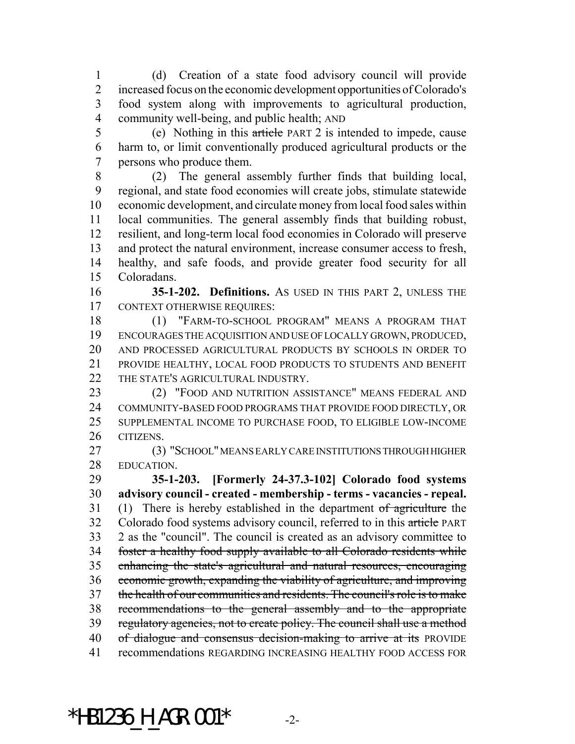(d) Creation of a state food advisory council will provide increased focus on the economic development opportunities of Colorado's food system along with improvements to agricultural production, community well-being, and public health; AND

5 (e) Nothing in this article PART 2 is intended to impede, cause harm to, or limit conventionally produced agricultural products or the persons who produce them.

 (2) The general assembly further finds that building local, regional, and state food economies will create jobs, stimulate statewide economic development, and circulate money from local food sales within local communities. The general assembly finds that building robust, resilient, and long-term local food economies in Colorado will preserve and protect the natural environment, increase consumer access to fresh, healthy, and safe foods, and provide greater food security for all Coloradans.

 **35-1-202. Definitions.** AS USED IN THIS PART 2, UNLESS THE CONTEXT OTHERWISE REQUIRES:

 (1) "FARM-TO-SCHOOL PROGRAM" MEANS A PROGRAM THAT ENCOURAGES THE ACQUISITION AND USE OF LOCALLY GROWN, PRODUCED, AND PROCESSED AGRICULTURAL PRODUCTS BY SCHOOLS IN ORDER TO PROVIDE HEALTHY, LOCAL FOOD PRODUCTS TO STUDENTS AND BENEFIT 22 THE STATE'S AGRICULTURAL INDUSTRY.

 (2) "FOOD AND NUTRITION ASSISTANCE" MEANS FEDERAL AND COMMUNITY-BASED FOOD PROGRAMS THAT PROVIDE FOOD DIRECTLY, OR SUPPLEMENTAL INCOME TO PURCHASE FOOD, TO ELIGIBLE LOW-INCOME CITIZENS.

 (3) "SCHOOL" MEANS EARLY CARE INSTITUTIONS THROUGH HIGHER EDUCATION.

 **35-1-203. [Formerly 24-37.3-102] Colorado food systems advisory council - created - membership - terms - vacancies - repeal.** 31 (1) There is hereby established in the department of agriculture the 32 Colorado food systems advisory council, referred to in this article PART 2 as the "council". The council is created as an advisory committee to foster a healthy food supply available to all Colorado residents while enhancing the state's agricultural and natural resources, encouraging economic growth, expanding the viability of agriculture, and improving the health of our communities and residents. The council's role is to make recommendations to the general assembly and to the appropriate 39 regulatory agencies, not to create policy. The council shall use a method 40 of dialogue and consensus decision-making to arrive at its PROVIDE recommendations REGARDING INCREASING HEALTHY FOOD ACCESS FOR

\*HB1236 H AGR.001\*  $-2$ -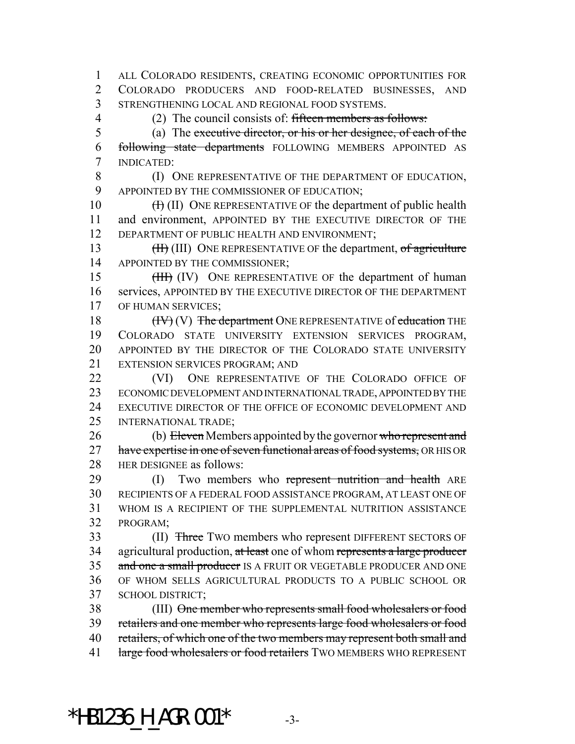1 ALL COLORADO RESIDENTS, CREATING ECONOMIC OPPORTUNITIES FOR 2 COLORADO PRODUCERS AND FOOD-RELATED BUSINESSES, AND 3 STRENGTHENING LOCAL AND REGIONAL FOOD SYSTEMS.

4 (2) The council consists of: fifteen members as follows:

5 (a) The executive director, or his or her designee, of each of the 6 following state departments FOLLOWING MEMBERS APPOINTED AS 7 INDICATED:

8 (I) ONE REPRESENTATIVE OF THE DEPARTMENT OF EDUCATION, 9 APPOINTED BY THE COMMISSIONER OF EDUCATION;

10  $(H)(II)$  ONE REPRESENTATIVE OF the department of public health 11 and environment, APPOINTED BY THE EXECUTIVE DIRECTOR OF THE 12 DEPARTMENT OF PUBLIC HEALTH AND ENVIRONMENT;

13 **(H)** (III) ONE REPRESENTATIVE OF the department, of agriculture 14 APPOINTED BY THE COMMISSIONER;

15 (HH) (IV) ONE REPRESENTATIVE OF the department of human 16 services, APPOINTED BY THE EXECUTIVE DIRECTOR OF THE DEPARTMENT 17 OF HUMAN SERVICES;

 $(HV)(V)$  The department ONE REPRESENTATIVE of education THE COLORADO STATE UNIVERSITY EXTENSION SERVICES PROGRAM, 20 APPOINTED BY THE DIRECTOR OF THE COLORADO STATE UNIVERSITY EXTENSION SERVICES PROGRAM; AND

22 (VI) ONE REPRESENTATIVE OF THE COLORADO OFFICE OF ECONOMIC DEVELOPMENT AND INTERNATIONAL TRADE, APPOINTED BY THE EXECUTIVE DIRECTOR OF THE OFFICE OF ECONOMIC DEVELOPMENT AND INTERNATIONAL TRADE;

26 (b) Eleven Members appointed by the governor who represent and 27 have expertise in one of seven functional areas of food systems, OR HIS OR 28 HER DESIGNEE as follows:

29 (I) Two members who represent nutrition and health ARE 30 RECIPIENTS OF A FEDERAL FOOD ASSISTANCE PROGRAM, AT LEAST ONE OF 31 WHOM IS A RECIPIENT OF THE SUPPLEMENTAL NUTRITION ASSISTANCE 32 PROGRAM;

33 (II) Three Two members who represent DIFFERENT SECTORS OF 34 agricultural production, at least one of whom represents a large producer 35 and one a small producer IS A FRUIT OR VEGETABLE PRODUCER AND ONE 36 OF WHOM SELLS AGRICULTURAL PRODUCTS TO A PUBLIC SCHOOL OR 37 SCHOOL DISTRICT;

38 (III) One member who represents small food wholesalers or food 39 retailers and one member who represents large food wholesalers or food 40 retailers, of which one of the two members may represent both small and 41 large food wholesalers or food retailers TWO MEMBERS WHO REPRESENT

\*HB1236 H AGR.001\*  $-3$ -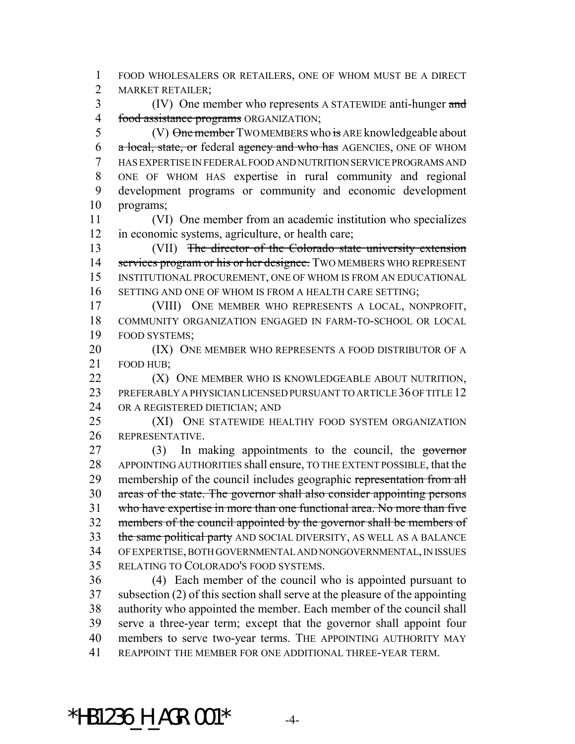FOOD WHOLESALERS OR RETAILERS, ONE OF WHOM MUST BE A DIRECT MARKET RETAILER;

3 (IV) One member who represents A STATEWIDE anti-hunger and 4 food assistance programs ORGANIZATION;

5 (V) One member TWO MEMBERS who is ARE knowledgeable about 6 a local, state, or federal agency and who has AGENCIES, ONE OF WHOM HAS EXPERTISE IN FEDERAL FOOD AND NUTRITION SERVICE PROGRAMS AND ONE OF WHOM HAS expertise in rural community and regional development programs or community and economic development programs;

 (VI) One member from an academic institution who specializes in economic systems, agriculture, or health care;

13 (VII) The director of the Colorado state university extension 14 services program or his or her designee. TWO MEMBERS WHO REPRESENT INSTITUTIONAL PROCUREMENT, ONE OF WHOM IS FROM AN EDUCATIONAL SETTING AND ONE OF WHOM IS FROM A HEALTH CARE SETTING;

 (VIII) ONE MEMBER WHO REPRESENTS A LOCAL, NONPROFIT, COMMUNITY ORGANIZATION ENGAGED IN FARM-TO-SCHOOL OR LOCAL FOOD SYSTEMS;

20 (IX) ONE MEMBER WHO REPRESENTS A FOOD DISTRIBUTOR OF A FOOD HUB;

**(X)** ONE MEMBER WHO IS KNOWLEDGEABLE ABOUT NUTRITION, 23 PREFERABLY A PHYSICIAN LICENSED PURSUANT TO ARTICLE 36 OF TITLE 12 OR A REGISTERED DIETICIAN; AND

 (XI) ONE STATEWIDE HEALTHY FOOD SYSTEM ORGANIZATION 26 REPRESENTATIVE

 (3) In making appointments to the council, the governor APPOINTING AUTHORITIES shall ensure, TO THE EXTENT POSSIBLE, that the 29 membership of the council includes geographic representation from all areas of the state. The governor shall also consider appointing persons who have expertise in more than one functional area. No more than five members of the council appointed by the governor shall be members of 33 the same political party AND SOCIAL DIVERSITY, AS WELL AS A BALANCE OF EXPERTISE, BOTH GOVERNMENTAL AND NONGOVERNMENTAL, IN ISSUES RELATING TO COLORADO'S FOOD SYSTEMS.

 (4) Each member of the council who is appointed pursuant to subsection (2) of this section shall serve at the pleasure of the appointing authority who appointed the member. Each member of the council shall serve a three-year term; except that the governor shall appoint four members to serve two-year terms. THE APPOINTING AUTHORITY MAY REAPPOINT THE MEMBER FOR ONE ADDITIONAL THREE-YEAR TERM.

 $*$ HB1236 H AGR.001 $*$  -4-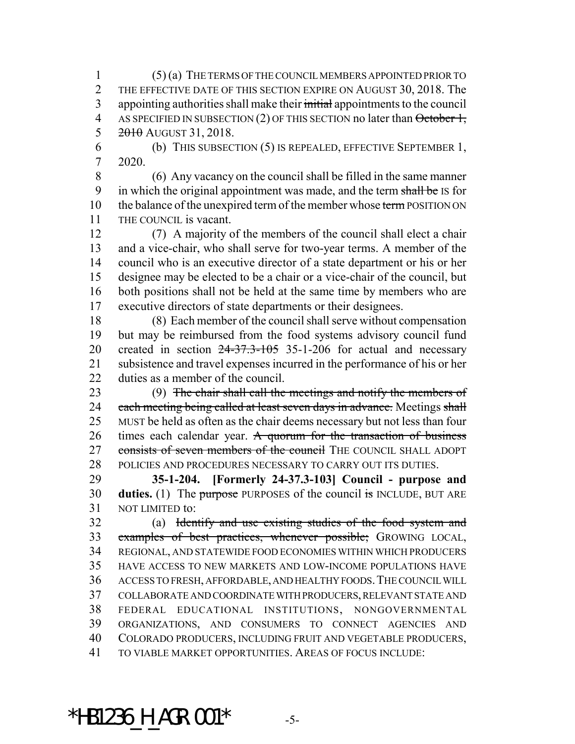(5) (a) THE TERMS OF THE COUNCIL MEMBERS APPOINTED PRIOR TO 2 THE EFFECTIVE DATE OF THIS SECTION EXPIRE ON AUGUST 30, 2018. The 3 appointing authorities shall make their initial appointments to the council 4 AS SPECIFIED IN SUBSECTION (2) OF THIS SECTION no later than  $\theta$ ctober 1,  $5 \frac{2010}{2018}$  AUGUST 31, 2018.

 (b) THIS SUBSECTION (5) IS REPEALED, EFFECTIVE SEPTEMBER 1, 2020.

 (6) Any vacancy on the council shall be filled in the same manner 9 in which the original appointment was made, and the term shall be IS for 10 the balance of the unexpired term of the member whose term POSITION ON THE COUNCIL is vacant.

 (7) A majority of the members of the council shall elect a chair and a vice-chair, who shall serve for two-year terms. A member of the council who is an executive director of a state department or his or her designee may be elected to be a chair or a vice-chair of the council, but both positions shall not be held at the same time by members who are executive directors of state departments or their designees.

 (8) Each member of the council shall serve without compensation but may be reimbursed from the food systems advisory council fund 20 created in section  $24-37.3-105$  35-1-206 for actual and necessary subsistence and travel expenses incurred in the performance of his or her duties as a member of the council.

 (9) The chair shall call the meetings and notify the members of 24 each meeting being called at least seven days in advance. Meetings shall MUST be held as often as the chair deems necessary but not less than four 26 times each calendar year. A quorum for the transaction of business 27 consists of seven members of the council THE COUNCIL SHALL ADOPT POLICIES AND PROCEDURES NECESSARY TO CARRY OUT ITS DUTIES.

 **35-1-204. [Formerly 24-37.3-103] Council - purpose and duties.** (1) The purpose PURPOSES of the council is INCLUDE, BUT ARE NOT LIMITED to:

 (a) Identify and use existing studies of the food system and examples of best practices, whenever possible; GROWING LOCAL, REGIONAL, AND STATEWIDE FOOD ECONOMIES WITHIN WHICH PRODUCERS HAVE ACCESS TO NEW MARKETS AND LOW-INCOME POPULATIONS HAVE ACCESS TO FRESH, AFFORDABLE, AND HEALTHY FOODS.THE COUNCIL WILL COLLABORATE AND COORDINATE WITH PRODUCERS, RELEVANT STATE AND FEDERAL EDUCATIONAL INSTITUTIONS, NONGOVERNMENTAL ORGANIZATIONS, AND CONSUMERS TO CONNECT AGENCIES AND COLORADO PRODUCERS, INCLUDING FRUIT AND VEGETABLE PRODUCERS, TO VIABLE MARKET OPPORTUNITIES. AREAS OF FOCUS INCLUDE:

\*HB1236 H AGR.001\*  $-5$ -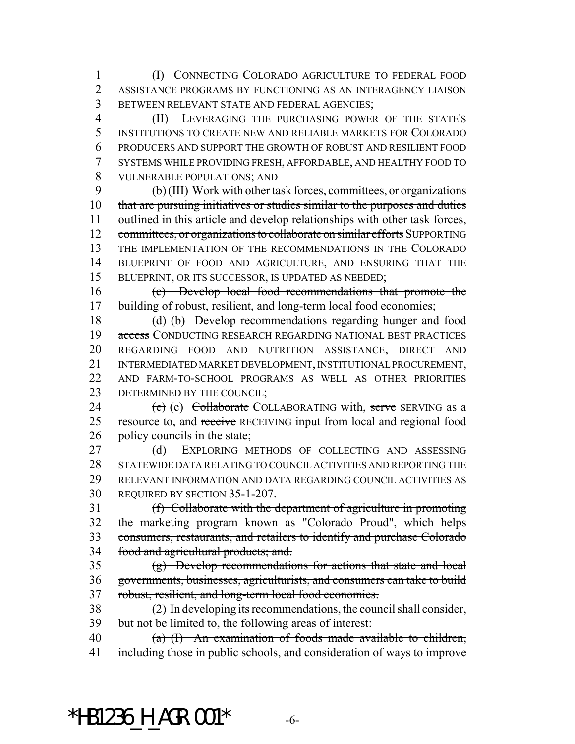(I) CONNECTING COLORADO AGRICULTURE TO FEDERAL FOOD ASSISTANCE PROGRAMS BY FUNCTIONING AS AN INTERAGENCY LIAISON BETWEEN RELEVANT STATE AND FEDERAL AGENCIES;

 (II) LEVERAGING THE PURCHASING POWER OF THE STATE'S INSTITUTIONS TO CREATE NEW AND RELIABLE MARKETS FOR COLORADO PRODUCERS AND SUPPORT THE GROWTH OF ROBUST AND RESILIENT FOOD SYSTEMS WHILE PROVIDING FRESH, AFFORDABLE, AND HEALTHY FOOD TO VULNERABLE POPULATIONS; AND

 (b) (III) Work with other task forces, committees, or organizations 10 that are pursuing initiatives or studies similar to the purposes and duties 11 outlined in this article and develop relationships with other task forces, 12 committees, or organizations to collaborate on similar efforts SUPPORTING THE IMPLEMENTATION OF THE RECOMMENDATIONS IN THE COLORADO BLUEPRINT OF FOOD AND AGRICULTURE, AND ENSURING THAT THE BLUEPRINT, OR ITS SUCCESSOR, IS UPDATED AS NEEDED;

 (c) Develop local food recommendations that promote the 17 building of robust, resilient, and long-term local food economies;

 (d) (b) Develop recommendations regarding hunger and food 19 access CONDUCTING RESEARCH REGARDING NATIONAL BEST PRACTICES REGARDING FOOD AND NUTRITION ASSISTANCE, DIRECT AND INTERMEDIATED MARKET DEVELOPMENT, INSTITUTIONAL PROCUREMENT, AND FARM-TO-SCHOOL PROGRAMS AS WELL AS OTHER PRIORITIES 23 DETERMINED BY THE COUNCIL;

24 (e) (c) Collaborate COLLABORATING with, serve SERVING as a 25 resource to, and receive RECEIVING input from local and regional food policy councils in the state;

 (d) EXPLORING METHODS OF COLLECTING AND ASSESSING STATEWIDE DATA RELATING TO COUNCIL ACTIVITIES AND REPORTING THE RELEVANT INFORMATION AND DATA REGARDING COUNCIL ACTIVITIES AS REQUIRED BY SECTION 35-1-207.

 (f) Collaborate with the department of agriculture in promoting the marketing program known as "Colorado Proud", which helps consumers, restaurants, and retailers to identify and purchase Colorado food and agricultural products; and.

 (g) Develop recommendations for actions that state and local governments, businesses, agriculturists, and consumers can take to build robust, resilient, and long-term local food economies.

 (2) In developing its recommendations, the council shall consider, but not be limited to, the following areas of interest:

 (a) (I) An examination of foods made available to children, 41 including those in public schools, and consideration of ways to improve

 $*$ HB1236 H AGR.001 $*$  -6-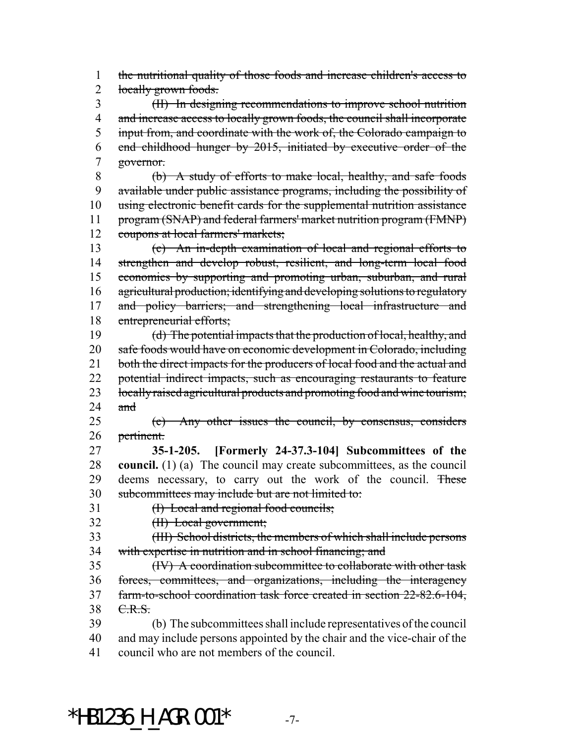the nutritional quality of those foods and increase children's access to 2 locally grown foods.

 (II) In designing recommendations to improve school nutrition 4 and increase access to locally grown foods, the council shall incorporate input from, and coordinate with the work of, the Colorado campaign to end childhood hunger by 2015, initiated by executive order of the governor.

 (b) A study of efforts to make local, healthy, and safe foods available under public assistance programs, including the possibility of 10 using electronic benefit cards for the supplemental nutrition assistance program (SNAP) and federal farmers' market nutrition program (FMNP) coupons at local farmers' markets;

 (c) An in-depth examination of local and regional efforts to 14 strengthen and develop robust, resilient, and long-term local food economies by supporting and promoting urban, suburban, and rural 16 agricultural production; identifying and developing solutions to regulatory 17 and policy barriers; and strengthening local infrastructure and entrepreneurial efforts;

 (d) The potential impacts that the production of local, healthy, and safe foods would have on economic development in Colorado, including 21 both the direct impacts for the producers of local food and the actual and 22 potential indirect impacts, such as encouraging restaurants to feature 23 locally raised agricultural products and promoting food and wine tourism; and

 (e) Any other issues the council, by consensus, considers pertinent.

 **35-1-205. [Formerly 24-37.3-104] Subcommittees of the council.** (1) (a) The council may create subcommittees, as the council 29 deems necessary, to carry out the work of the council. These subcommittees may include but are not limited to:

31 (I) Local and regional food councils;

(II) Local government;

 (III) School districts, the members of which shall include persons with expertise in nutrition and in school financing; and

 (IV) A coordination subcommittee to collaborate with other task forces, committees, and organizations, including the interagency farm-to-school coordination task force created in section 22-82.6-104, 38 C.R.S.

 (b) The subcommittees shall include representatives of the council and may include persons appointed by the chair and the vice-chair of the council who are not members of the council.

 $*$ HB1236 H AGR.001 $*$  -7-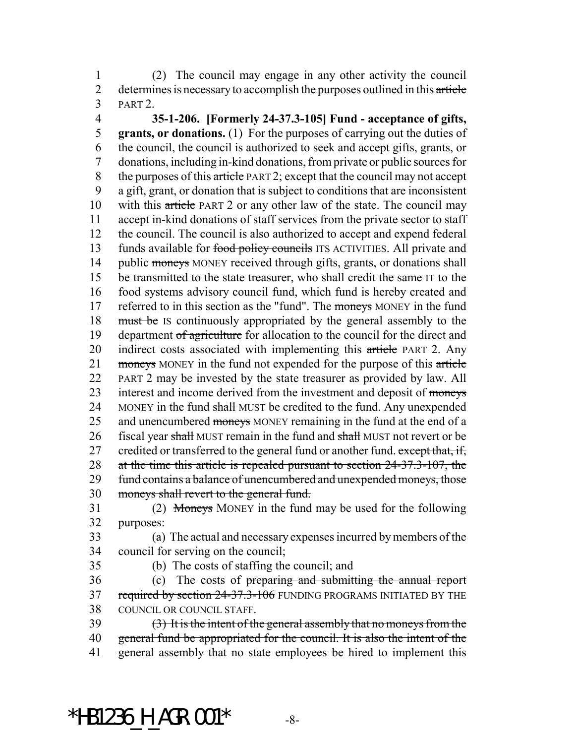1 (2) The council may engage in any other activity the council 2 determines is necessary to accomplish the purposes outlined in this article 3 PART 2.

4 **35-1-206. [Formerly 24-37.3-105] Fund - acceptance of gifts,** 5 **grants, or donations.** (1) For the purposes of carrying out the duties of 6 the council, the council is authorized to seek and accept gifts, grants, or 7 donations, including in-kind donations, from private or public sources for 8 the purposes of this article PART 2; except that the council may not accept 9 a gift, grant, or donation that is subject to conditions that are inconsistent 10 with this article PART 2 or any other law of the state. The council may 11 accept in-kind donations of staff services from the private sector to staff 12 the council. The council is also authorized to accept and expend federal 13 funds available for food policy councils ITS ACTIVITIES. All private and 14 public moneys MONEY received through gifts, grants, or donations shall 15 be transmitted to the state treasurer, who shall credit the same IT to the 16 food systems advisory council fund, which fund is hereby created and 17 referred to in this section as the "fund". The moneys MONEY in the fund 18 must be IS continuously appropriated by the general assembly to the 19 department of agriculture for allocation to the council for the direct and 20 indirect costs associated with implementing this article PART 2. Any 21 moneys MONEY in the fund not expended for the purpose of this article 22 PART 2 may be invested by the state treasurer as provided by law. All 23 interest and income derived from the investment and deposit of moneys 24 MONEY in the fund shall MUST be credited to the fund. Any unexpended 25 and unencumbered moneys MONEY remaining in the fund at the end of a 26 fiscal year shall MUST remain in the fund and shall MUST not revert or be 27 credited or transferred to the general fund or another fund. except that, if, 28 at the time this article is repealed pursuant to section 24-37.3-107, the 29 fund contains a balance of unencumbered and unexpended moneys, those 30 moneys shall revert to the general fund.

31 (2) Moneys MONEY in the fund may be used for the following 32 purposes:

33 (a) The actual and necessary expenses incurred by members of the 34 council for serving on the council;

35 (b) The costs of staffing the council; and

36 (c) The costs of preparing and submitting the annual report 37 required by section 24-37.3-106 FUNDING PROGRAMS INITIATED BY THE 38 COUNCIL OR COUNCIL STAFF.

39 (3) It is the intent of the general assembly that no moneys from the 40 general fund be appropriated for the council. It is also the intent of the 41 general assembly that no state employees be hired to implement this

 $*$ HB1236 H AGR.001 $*$  -8-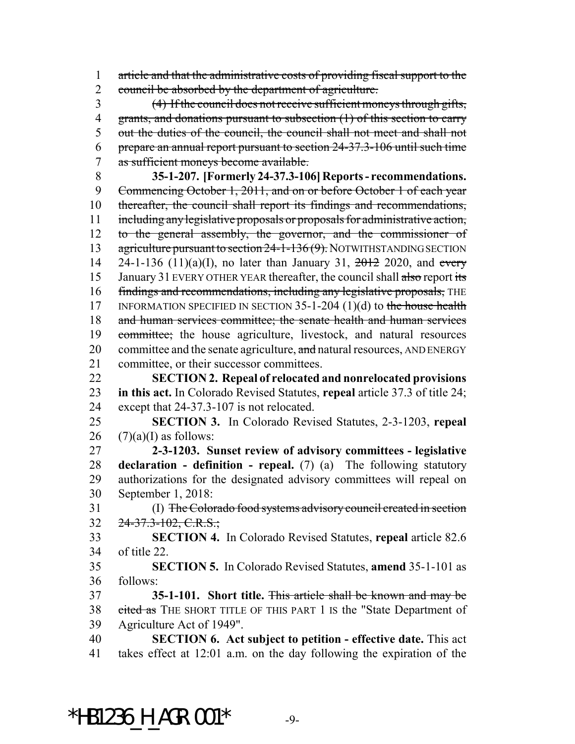article and that the administrative costs of providing fiscal support to the 2 council be absorbed by the department of agriculture. (4) If the council does not receive sufficient moneys through gifts, 4 grants, and donations pursuant to subsection (1) of this section to carry out the duties of the council, the council shall not meet and shall not prepare an annual report pursuant to section 24-37.3-106 until such time as sufficient moneys become available. **35-1-207. [Formerly 24-37.3-106] Reports - recommendations.** 9 Commencing October 1, 2011, and on or before October 1 of each year 10 thereafter, the council shall report its findings and recommendations, including any legislative proposals or proposals for administrative action, to the general assembly, the governor, and the commissioner of 13 agriculture pursuant to section 24-1-136(9). NOTWITHSTANDING SECTION 14 24-1-136 (11)(a)(I), no later than January 31,  $\frac{2012}{2020}$ , and every 15 January 31 EVERY OTHER YEAR thereafter, the council shall also report its findings and recommendations, including any legislative proposals, THE 17 INFORMATION SPECIFIED IN SECTION 35-1-204 (1)(d) to the house health and human services committee; the senate health and human services committee; the house agriculture, livestock, and natural resources 20 committee and the senate agriculture, and natural resources, AND ENERGY committee, or their successor committees. **SECTION 2. Repeal of relocated and nonrelocated provisions in this act.** In Colorado Revised Statutes, **repeal** article 37.3 of title 24; except that 24-37.3-107 is not relocated. **SECTION 3.** In Colorado Revised Statutes, 2-3-1203, **repeal**  $(7)(a)(I)$  as follows: **2-3-1203. Sunset review of advisory committees - legislative declaration - definition - repeal.** (7) (a) The following statutory authorizations for the designated advisory committees will repeal on September 1, 2018: (I) The Colorado food systems advisory council created in section 32 24-37.3-102, C.R.S.; **SECTION 4.** In Colorado Revised Statutes, **repeal** article 82.6 of title 22. **SECTION 5.** In Colorado Revised Statutes, **amend** 35-1-101 as follows: **35-1-101. Short title.** This article shall be known and may be 38 cited as THE SHORT TITLE OF THIS PART 1 IS the "State Department of Agriculture Act of 1949". **SECTION 6. Act subject to petition - effective date.** This act takes effect at 12:01 a.m. on the day following the expiration of the

 $*$ HB1236 H AGR.001 $*$  -9-